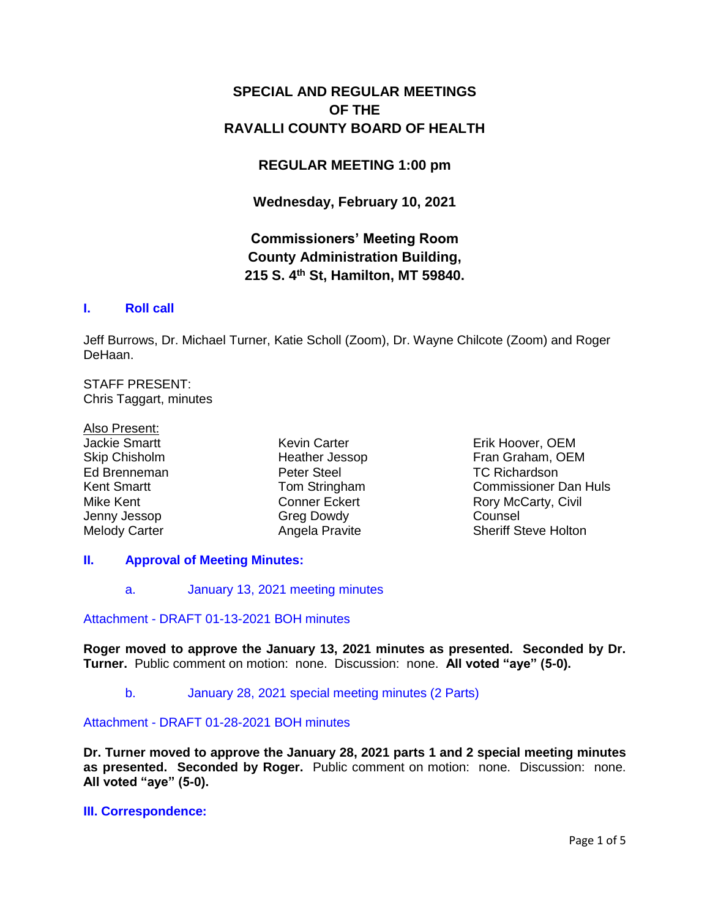# **SPECIAL AND REGULAR MEETINGS OF THE RAVALLI COUNTY BOARD OF HEALTH**

# **REGULAR MEETING 1:00 pm**

**Wednesday, February 10, 2021**

# **Commissioners' Meeting Room County Administration Building, 215 S. 4th St, Hamilton, MT 59840.**

# **I. [Roll call](http://ravalli-mt.granicus.com/wordlinkreceiver.php?clip_id=a5e6d761-75ac-48d9-9110-f338539d5593&meta_id=b723698f-4c3c-4029-b12c-6faf4a120cdf&time=17)**

Jeff Burrows, Dr. Michael Turner, Katie Scholl (Zoom), Dr. Wayne Chilcote (Zoom) and Roger DeHaan.

STAFF PRESENT: Chris Taggart, minutes

Also Present: Jackie Smartt Skip Chisholm Ed Brenneman Kent Smartt Mike Kent Jenny Jessop Melody Carter

Kevin Carter Heather Jessop Peter Steel Tom Stringham Conner Eckert Greg Dowdy Angela Pravite

Erik Hoover, OEM Fran Graham, OEM TC Richardson Commissioner Dan Huls Rory McCarty, Civil Counsel Sheriff Steve Holton

# **II. [Approval of Meeting Minutes:](http://ravalli-mt.granicus.com/wordlinkreceiver.php?clip_id=a5e6d761-75ac-48d9-9110-f338539d5593&meta_id=ae7eb4d7-5e3a-4a3a-a525-7a6933e6c1af&time=39)**

a. [January 13, 2021 meeting minutes](http://ravalli-mt.granicus.com/wordlinkreceiver.php?clip_id=a5e6d761-75ac-48d9-9110-f338539d5593&meta_id=13f8ff78-f177-4f8e-92a3-e5eb8327c0b7&time=39)

# Attachment - [DRAFT 01-13-2021 BOH minutes](http://ravalli-mt.granicus.com/DocumentViewer.php?file=ravalli-mt_a2257834da84344d0e0fff04e5369a72.pdf)

**Roger moved to approve the January 13, 2021 minutes as presented. Seconded by Dr. Turner.** Public comment on motion: none. Discussion: none. **All voted "aye" (5-0).**

# b. [January 28, 2021 special meeting minutes \(2 Parts\)](http://ravalli-mt.granicus.com/wordlinkreceiver.php?clip_id=a5e6d761-75ac-48d9-9110-f338539d5593&meta_id=11d5984d-b602-474f-a48b-01e887737e5a&time=81)

## Attachment - [DRAFT 01-28-2021 BOH minutes](http://ravalli-mt.granicus.com/DocumentViewer.php?file=ravalli-mt_90b3ff7fe8f546bb611580d7650fbda0.pdf)

**Dr. Turner moved to approve the January 28, 2021 parts 1 and 2 special meeting minutes as presented. Seconded by Roger.** Public comment on motion: none. Discussion: none. **All voted "aye" (5-0).**

### **[III. Correspondence:](http://ravalli-mt.granicus.com/wordlinkreceiver.php?clip_id=a5e6d761-75ac-48d9-9110-f338539d5593&meta_id=9333bd40-562a-4713-9801-4866bb511076&time=115)**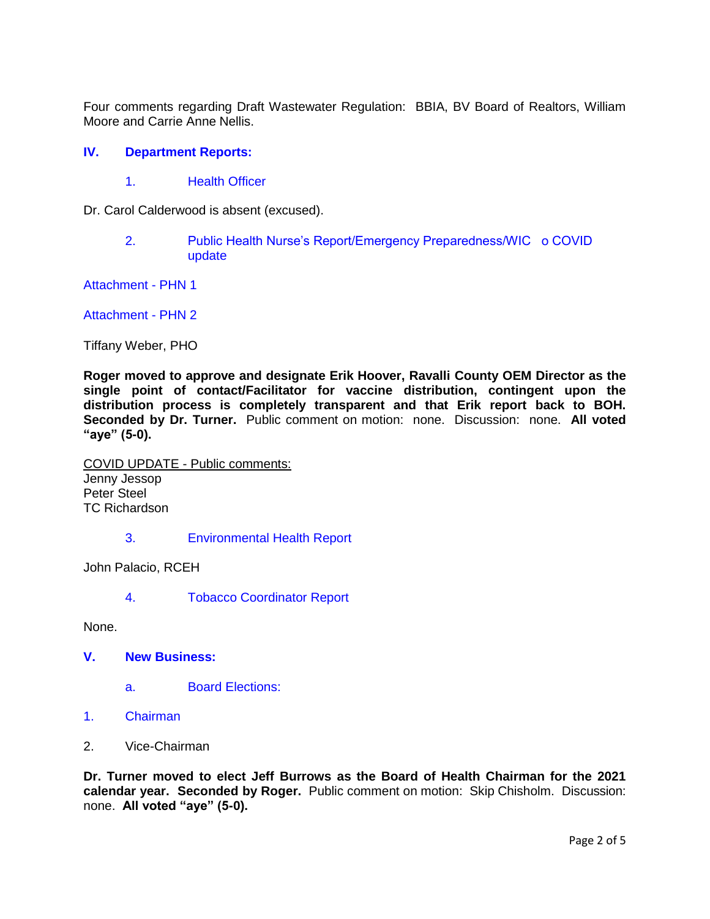Four comments regarding Draft Wastewater Regulation: BBIA, BV Board of Realtors, William Moore and Carrie Anne Nellis.

## **IV. [Department Reports:](http://ravalli-mt.granicus.com/wordlinkreceiver.php?clip_id=a5e6d761-75ac-48d9-9110-f338539d5593&meta_id=dbedf4d0-6d46-446b-acd6-1af7cb2ada53&time=202)**

1. [Health Officer](http://ravalli-mt.granicus.com/wordlinkreceiver.php?clip_id=a5e6d761-75ac-48d9-9110-f338539d5593&meta_id=15dcb171-6b7f-4b75-a0e7-777031941c86&time=203)

Dr. Carol Calderwood is absent (excused).

2. [Public Health Nurse's Report/Emergency Preparedness/WIC o COVID](http://ravalli-mt.granicus.com/wordlinkreceiver.php?clip_id=a5e6d761-75ac-48d9-9110-f338539d5593&meta_id=1b2747ed-168b-49f0-bf89-2abbffed7403&time=212)  [update](http://ravalli-mt.granicus.com/wordlinkreceiver.php?clip_id=a5e6d761-75ac-48d9-9110-f338539d5593&meta_id=1b2747ed-168b-49f0-bf89-2abbffed7403&time=212)

[Attachment -](http://ravalli-mt.granicus.com/DocumentViewer.php?file=ravalli-mt_6655ebb70607f13e442f7c656fd78ed2.pdf) PHN 1

[Attachment -](http://ravalli-mt.granicus.com/DocumentViewer.php?file=ravalli-mt_173d25b40ffe2200ed7941be2337f42c.pdf) PHN 2

Tiffany Weber, PHO

**Roger moved to approve and designate Erik Hoover, Ravalli County OEM Director as the single point of contact/Facilitator for vaccine distribution, contingent upon the distribution process is completely transparent and that Erik report back to BOH. Seconded by Dr. Turner.** Public comment on motion: none. Discussion: none. **All voted "aye" (5-0).**

COVID UPDATE - Public comments: Jenny Jessop Peter Steel TC Richardson

3. [Environmental Health Report](http://ravalli-mt.granicus.com/wordlinkreceiver.php?clip_id=a5e6d761-75ac-48d9-9110-f338539d5593&meta_id=9c1b26f2-9dac-4191-8e21-983654ad5ccf&time=2658)

John Palacio, RCEH

4. [Tobacco Coordinator Report](http://ravalli-mt.granicus.com/wordlinkreceiver.php?clip_id=a5e6d761-75ac-48d9-9110-f338539d5593&meta_id=fa632591-3ee3-4974-8303-31d092d11580&time=2738)

None.

- **V. [New Business:](http://ravalli-mt.granicus.com/wordlinkreceiver.php?clip_id=a5e6d761-75ac-48d9-9110-f338539d5593&meta_id=a40e3a8c-710f-4b6c-b630-c1d4a3fd10c2&time=2744)**
	- a. [Board Elections:](http://ravalli-mt.granicus.com/wordlinkreceiver.php?clip_id=a5e6d761-75ac-48d9-9110-f338539d5593&meta_id=44f09f96-73b9-42f6-ac2e-7ab240cd1d8e&time=2745)
- 1. [Chairman](http://ravalli-mt.granicus.com/wordlinkreceiver.php?clip_id=a5e6d761-75ac-48d9-9110-f338539d5593&meta_id=203d98e6-d05f-47ee-b6af-7599ce1f0b01&time=2805)
- 2. Vice-Chairman

**Dr. Turner moved to elect Jeff Burrows as the Board of Health Chairman for the 2021 calendar year. Seconded by Roger.** Public comment on motion: Skip Chisholm. Discussion: none. **All voted "aye" (5-0).**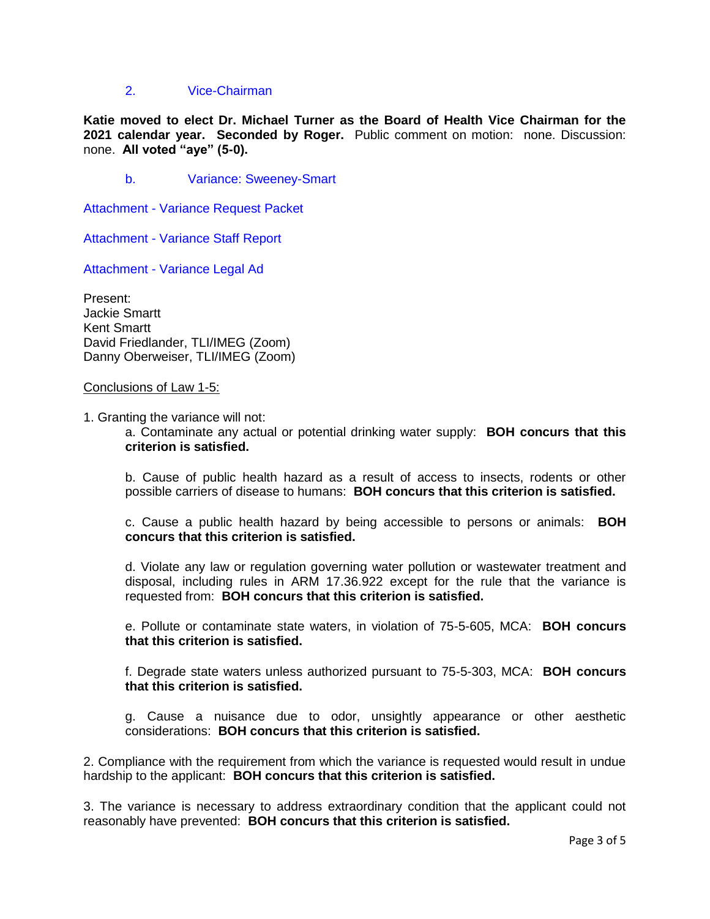## 2. [Vice-Chairman](http://ravalli-mt.granicus.com/wordlinkreceiver.php?clip_id=a5e6d761-75ac-48d9-9110-f338539d5593&meta_id=5fb377e5-b3a2-4a23-af89-474f78bfd1a4&time=2836)

**Katie moved to elect Dr. Michael Turner as the Board of Health Vice Chairman for the 2021 calendar year. Seconded by Roger.** Public comment on motion: none. Discussion: none. **All voted "aye" (5-0).**

b. [Variance: Sweeney-Smart](http://ravalli-mt.granicus.com/wordlinkreceiver.php?clip_id=a5e6d761-75ac-48d9-9110-f338539d5593&meta_id=51c0a744-8515-4ac4-9e1f-b0194d4568dc&time=2888)

Attachment - [Variance Request Packet](http://ravalli-mt.granicus.com/DocumentViewer.php?file=ravalli-mt_fad6030cfbd4b208622ff6502f2bf779.pdf)

Attachment - [Variance Staff Report](http://ravalli-mt.granicus.com/DocumentViewer.php?file=ravalli-mt_9c7d754a34d7b4219ec9417c7031eee4.pdf)

Attachment - [Variance Legal Ad](http://ravalli-mt.granicus.com/DocumentViewer.php?file=ravalli-mt_04ceb1f77154ad85da00974c695acd81.pdf)

Present: Jackie Smartt Kent Smartt David Friedlander, TLI/IMEG (Zoom) Danny Oberweiser, TLI/IMEG (Zoom)

#### Conclusions of Law 1-5:

1. Granting the variance will not:

a. Contaminate any actual or potential drinking water supply: **BOH concurs that this criterion is satisfied.**

b. Cause of public health hazard as a result of access to insects, rodents or other possible carriers of disease to humans: **BOH concurs that this criterion is satisfied.**

c. Cause a public health hazard by being accessible to persons or animals: **BOH concurs that this criterion is satisfied.**

d. Violate any law or regulation governing water pollution or wastewater treatment and disposal, including rules in ARM 17.36.922 except for the rule that the variance is requested from: **BOH concurs that this criterion is satisfied.**

e. Pollute or contaminate state waters, in violation of 75-5-605, MCA: **BOH concurs that this criterion is satisfied.**

f. Degrade state waters unless authorized pursuant to 75-5-303, MCA: **BOH concurs that this criterion is satisfied.**

g. Cause a nuisance due to odor, unsightly appearance or other aesthetic considerations: **BOH concurs that this criterion is satisfied.**

2. Compliance with the requirement from which the variance is requested would result in undue hardship to the applicant: **BOH concurs that this criterion is satisfied.**

3. The variance is necessary to address extraordinary condition that the applicant could not reasonably have prevented: **BOH concurs that this criterion is satisfied.**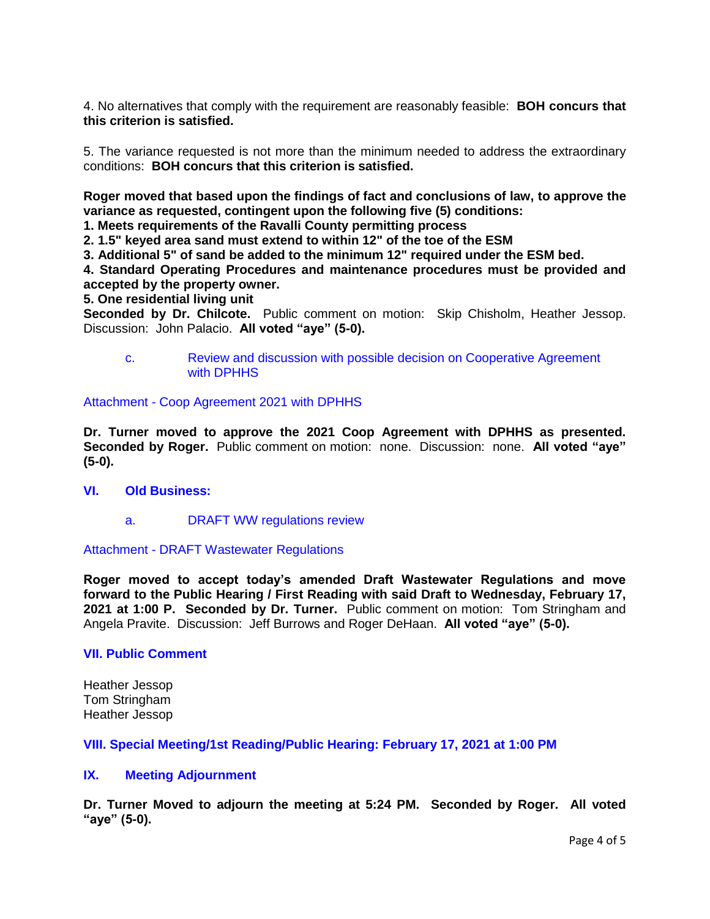4. No alternatives that comply with the requirement are reasonably feasible: **BOH concurs that this criterion is satisfied.**

5. The variance requested is not more than the minimum needed to address the extraordinary conditions: **BOH concurs that this criterion is satisfied.**

**Roger moved that based upon the findings of fact and conclusions of law, to approve the variance as requested, contingent upon the following five (5) conditions:**

**1. Meets requirements of the Ravalli County permitting process**

**2. 1.5" keyed area sand must extend to within 12" of the toe of the ESM**

**3. Additional 5" of sand be added to the minimum 12" required under the ESM bed.**

**4. Standard Operating Procedures and maintenance procedures must be provided and accepted by the property owner.**

**5. One residential living unit** 

**Seconded by Dr. Chilcote.** Public comment on motion: Skip Chisholm, Heather Jessop. Discussion: John Palacio. **All voted "aye" (5-0).**

c. [Review and discussion with possible decision on Cooperative Agreement](http://ravalli-mt.granicus.com/wordlinkreceiver.php?clip_id=a5e6d761-75ac-48d9-9110-f338539d5593&meta_id=eb133499-bd84-4c96-aad1-1687e77efc5a&time=6242)  [with DPHHS](http://ravalli-mt.granicus.com/wordlinkreceiver.php?clip_id=a5e6d761-75ac-48d9-9110-f338539d5593&meta_id=eb133499-bd84-4c96-aad1-1687e77efc5a&time=6242)

Attachment - [Coop Agreement 2021 with DPHHS](http://ravalli-mt.granicus.com/DocumentViewer.php?file=ravalli-mt_5a3f65c80e1b7ed4731bfe677a0a4f30.pdf)

**Dr. Turner moved to approve the 2021 Coop Agreement with DPHHS as presented. Seconded by Roger.** Public comment on motion: none. Discussion: none. **All voted "aye" (5-0).**

### **VI. [Old Business:](http://ravalli-mt.granicus.com/wordlinkreceiver.php?clip_id=a5e6d761-75ac-48d9-9110-f338539d5593&meta_id=96306105-01ad-4960-ad58-5099e4619bbb&time=6315)**

a. [DRAFT WW regulations review](http://ravalli-mt.granicus.com/wordlinkreceiver.php?clip_id=a5e6d761-75ac-48d9-9110-f338539d5593&meta_id=eac19ae4-fa05-40ee-b21c-d84b853c9988&time=6344)

#### Attachment - [DRAFT Wastewater Regulations](http://ravalli-mt.granicus.com/DocumentViewer.php?file=ravalli-mt_9d01f6d6e49e5770a8c236689e602935.pdf)

**Roger moved to accept today's amended Draft Wastewater Regulations and move forward to the Public Hearing / First Reading with said Draft to Wednesday, February 17, 2021 at 1:00 P. Seconded by Dr. Turner.** Public comment on motion: Tom Stringham and Angela Pravite. Discussion: Jeff Burrows and Roger DeHaan. **All voted "aye" (5-0).**

#### **[VII. Public Comment](http://ravalli-mt.granicus.com/wordlinkreceiver.php?clip_id=a5e6d761-75ac-48d9-9110-f338539d5593&meta_id=4ed881e1-d601-4355-9324-cac725543ae8&time=13595)**

Heather Jessop Tom Stringham Heather Jessop

**[VIII. Special Meeting/1st Reading/Public Hearing: February 17, 2021 at 1:00 PM](http://ravalli-mt.granicus.com/wordlinkreceiver.php?clip_id=a5e6d761-75ac-48d9-9110-f338539d5593&meta_id=74021d08-597c-44ab-a65d-5a1e04dcf0c1&time=14927)**

#### **IX. [Meeting Adjournment](http://ravalli-mt.granicus.com/wordlinkreceiver.php?clip_id=a5e6d761-75ac-48d9-9110-f338539d5593&meta_id=951b47ad-1b90-4102-b71b-db757d0c6d13&time=14937)**

**Dr. Turner Moved to adjourn the meeting at 5:24 PM. Seconded by Roger. All voted "aye" (5-0).**